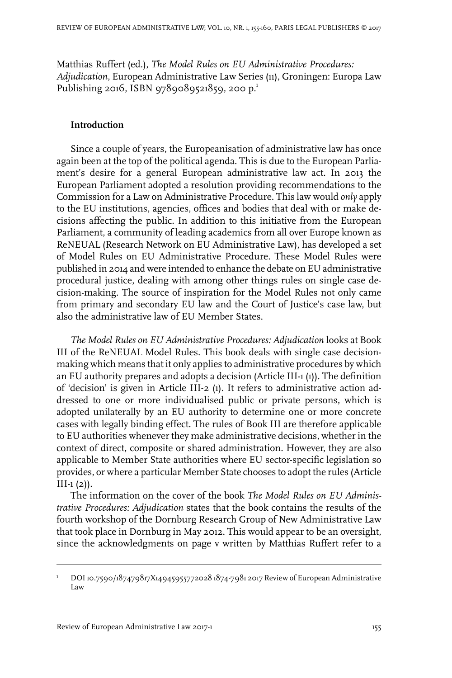Matthias Ruffert (ed.), *The Model Rules on EU Administrative Procedures: Adjudication*, European Administrative Law Series (11), Groningen: Europa Law Publishing 2016, ISBN 9789089521859, 200 p.<sup>1</sup>

## **Introduction**

Since a couple of years, the Europeanisation of administrative law has once again been at the top of the political agenda. This is due to the European Parliament's desire for a general European administrative law act. In 2013 the European Parliament adopted a resolution providing recommendations to the Commission for a Law on Administrative Procedure. This law would *only* apply to the EU institutions, agencies, offices and bodies that deal with or make decisions affecting the public. In addition to this initiative from the European Parliament, a community of leading academics from all over Europe known as ReNEUAL (Research Network on EU Administrative Law), has developed a set of Model Rules on EU Administrative Procedure. These Model Rules were published in 2014 and were intended to enhance the debate on EU administrative procedural justice, dealing with among other things rules on single case decision-making. The source of inspiration for the Model Rules not only came from primary and secondary EU law and the Court of Justice's case law, but also the administrative law of EU Member States.

*The Model Rules on EU Administrative Procedures: Adjudication* looks at Book III of the ReNEUAL Model Rules. This book deals with single case decisionmaking which means that it only applies to administrative procedures by which an EU authority prepares and adopts a decision (Article III-1 (1)). The definition of 'decision' is given in Article III-2 (1). It refers to administrative action addressed to one or more individualised public or private persons, which is adopted unilaterally by an EU authority to determine one or more concrete cases with legally binding effect. The rules of Book III are therefore applicable to EU authorities whenever they make administrative decisions, whether in the context of direct, composite or shared administration. However, they are also applicable to Member State authorities where EU sector-specific legislation so provides, or where a particular Member State chooses to adopt the rules (Article  $III-1(2)$ ).

The information on the cover of the book *The Model Rules on EU Administrative Procedures: Adjudication* states that the book contains the results of the fourth workshop of the Dornburg Research Group of New Administrative Law that took place in Dornburg in May 2012. This would appear to be an oversight, since the acknowledgments on page v written by Matthias Ruffert refer to a

DOI10.7590/187479817X14945955772028 1874-7981 2017 Review of European Administrative Law 1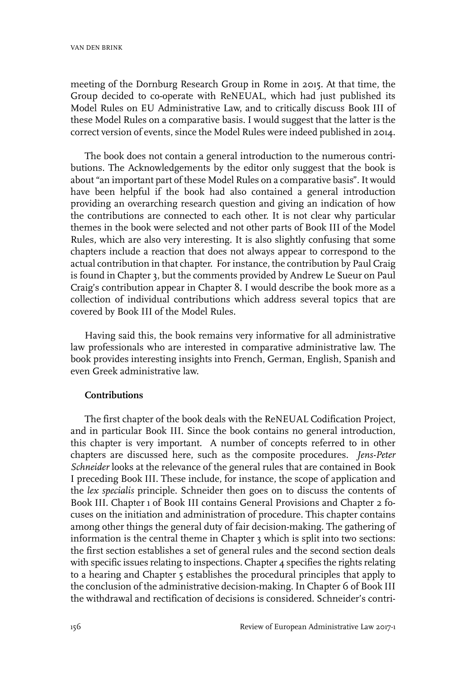meeting of the Dornburg Research Group in Rome in 2015. At that time, the Group decided to co-operate with ReNEUAL, which had just published its Model Rules on EU Administrative Law, and to critically discuss Book III of these Model Rules on a comparative basis. I would suggest that the latter is the correct version of events, since the Model Rules were indeed published in 2014.

The book does not contain a general introduction to the numerous contributions. The Acknowledgements by the editor only suggest that the book is about "an important part of these Model Rules on a comparative basis". It would have been helpful if the book had also contained a general introduction providing an overarching research question and giving an indication of how the contributions are connected to each other. It is not clear why particular themes in the book were selected and not other parts of Book III of the Model Rules, which are also very interesting. It is also slightly confusing that some chapters include a reaction that does not always appear to correspond to the actual contribution in that chapter. For instance, the contribution by Paul Craig is found in Chapter 3, but the comments provided by Andrew Le Sueur on Paul Craig's contribution appear in Chapter 8. I would describe the book more as a collection of individual contributions which address several topics that are covered by Book III of the Model Rules.

Having said this, the book remains very informative for all administrative law professionals who are interested in comparative administrative law. The book provides interesting insights into French, German, English, Spanish and even Greek administrative law.

## **Contributions**

The first chapter of the book deals with the ReNEUAL Codification Project, and in particular Book III. Since the book contains no general introduction, this chapter is very important. A number of concepts referred to in other chapters are discussed here, such as the composite procedures. *Jens-Peter Schneider* looks at the relevance of the general rules that are contained in Book I preceding Book III. These include, for instance, the scope of application and the *lex specialis* principle. Schneider then goes on to discuss the contents of Book III. Chapter 1 of Book III contains General Provisions and Chapter 2 focuses on the initiation and administration of procedure. This chapter contains among other things the general duty of fair decision-making. The gathering of information is the central theme in Chapter 3 which is split into two sections: the first section establishes a set of general rules and the second section deals with specific issues relating to inspections. Chapter 4 specifies the rights relating to a hearing and Chapter 5 establishes the procedural principles that apply to the conclusion of the administrative decision-making. In Chapter 6 of Book III the withdrawal and rectification of decisions is considered. Schneider's contri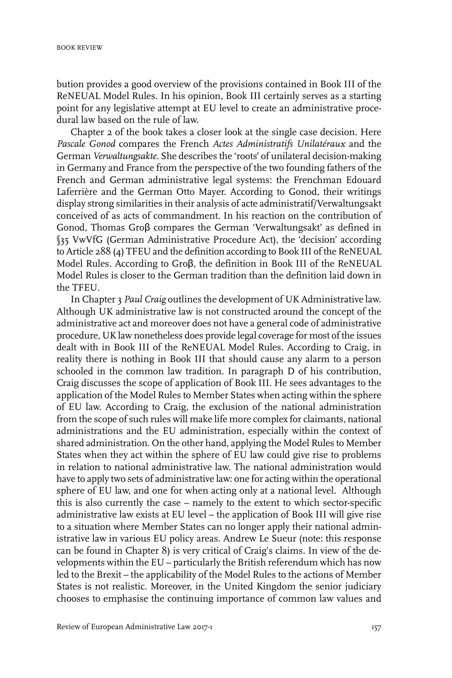bution provides a good overview of the provisions contained in Book III of the ReNEUAL Model Rules. In his opinion, Book III certainly serves as a starting point for any legislative attempt at EU level to create an administrative procedural law based on the rule of law.

Chapter 2 of the book takes a closer look at the single case decision. Here *Pascale Gonod* compares the French *Actes Administratifs Unilatéraux* and the German *Verwaltungsakte*. She describes the 'roots' of unilateral decision-making in Germany and France from the perspective of the two founding fathers of the French and German administrative legal systems: the Frenchman Edouard Laferrière and the German Otto Mayer. According to Gonod, their writings display strong similarities in their analysis of acte administratif/Verwaltungsakt conceived of as acts of commandment. In his reaction on the contribution of Gonod, Thomas Groβ compares the German 'Verwaltungsakt' as defined in §35 VwVfG (German Administrative Procedure Act), the 'decision' according to Article 288 (4) TFEU and the definition according to Book III of the ReNEUAL Model Rules. According to Groβ, the definition in Book III of the ReNEUAL Model Rules is closer to the German tradition than the definition laid down in the TFEU.

In Chapter 3 *Paul Craig* outlines the development of UK Administrative law. Although UK administrative law is not constructed around the concept of the administrative act and moreover does not have a general code of administrative procedure, UK law nonetheless does provide legal coverage for most of the issues dealt with in Book III of the ReNEUAL Model Rules. According to Craig, in reality there is nothing in Book III that should cause any alarm to a person schooled in the common law tradition. In paragraph D of his contribution, Craig discusses the scope of application of Book III. He sees advantages to the application of the Model Rules to Member States when acting within the sphere of EU law. According to Craig, the exclusion of the national administration from the scope of such rules will make life more complex for claimants, national administrations and the EU administration, especially within the context of shared administration. On the other hand, applying the Model Rules to Member States when they act within the sphere of EU law could give rise to problems in relation to national administrative law. The national administration would have to apply two sets of administrative law: one for acting within the operational sphere of EU law, and one for when acting only at a national level. Although this is also currently the case – namely to the extent to which sector-specific administrative law exists at EU level – the application of Book III will give rise to a situation where Member States can no longer apply their national administrative law in various EU policy areas. Andrew Le Sueur (note: this response can be found in Chapter 8) is very critical of Craig's claims. In view of the developments within the EU – particularly the British referendum which has now led to the Brexit – the applicability of the Model Rules to the actions of Member States is not realistic. Moreover, in the United Kingdom the senior judiciary chooses to emphasise the continuing importance of common law values and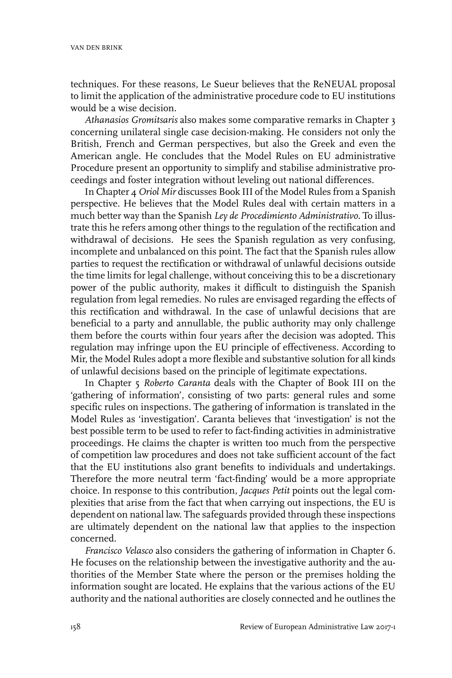techniques. For these reasons, Le Sueur believes that the ReNEUAL proposal to limit the application of the administrative procedure code to EU institutions would be a wise decision.

*Athanasios Gromitsaris* also makes some comparative remarks in Chapter 3 concerning unilateral single case decision-making. He considers not only the British, French and German perspectives, but also the Greek and even the American angle. He concludes that the Model Rules on EU administrative Procedure present an opportunity to simplify and stabilise administrative proceedings and foster integration without leveling out national differences.

In Chapter 4 *Oriol Mir* discusses Book III of the Model Rules from a Spanish perspective. He believes that the Model Rules deal with certain matters in a much better way than the Spanish *Ley de Procedimiento Administrativo*. To illustrate this he refers among other things to the regulation of the rectification and withdrawal of decisions. He sees the Spanish regulation as very confusing, incomplete and unbalanced on this point. The fact that the Spanish rules allow parties to request the rectification or withdrawal of unlawful decisions outside the time limits for legal challenge, without conceiving this to be a discretionary power of the public authority, makes it difficult to distinguish the Spanish regulation from legal remedies. No rules are envisaged regarding the effects of this rectification and withdrawal. In the case of unlawful decisions that are beneficial to a party and annullable, the public authority may only challenge them before the courts within four years after the decision was adopted. This regulation may infringe upon the EU principle of effectiveness. According to Mir, the Model Rules adopt a more flexible and substantive solution for all kinds of unlawful decisions based on the principle of legitimate expectations.

In Chapter 5 *Roberto Caranta* deals with the Chapter of Book III on the 'gathering of information', consisting of two parts: general rules and some specific rules on inspections. The gathering of information is translated in the Model Rules as 'investigation'. Caranta believes that 'investigation' is not the best possible term to be used to refer to fact-finding activities in administrative proceedings. He claims the chapter is written too much from the perspective of competition law procedures and does not take sufficient account of the fact that the EU institutions also grant benefits to individuals and undertakings. Therefore the more neutral term 'fact-finding' would be a more appropriate choice. In response to this contribution, *Jacques Petit* points out the legal complexities that arise from the fact that when carrying out inspections, the EU is dependent on national law. The safeguards provided through these inspections are ultimately dependent on the national law that applies to the inspection concerned.

*Francisco Velasco* also considers the gathering of information in Chapter 6. He focuses on the relationship between the investigative authority and the authorities of the Member State where the person or the premises holding the information sought are located. He explains that the various actions of the EU authority and the national authorities are closely connected and he outlines the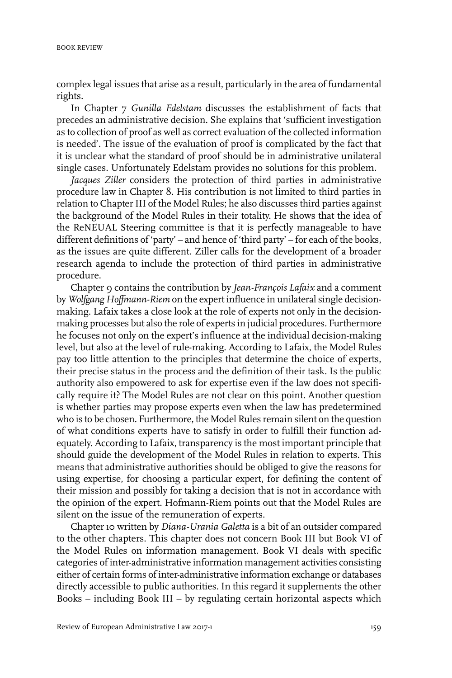complex legal issues that arise as a result, particularly in the area of fundamental rights.

In Chapter 7 *Gunilla Edelstam* discusses the establishment of facts that precedes an administrative decision. She explains that 'sufficient investigation as to collection of proof as well as correct evaluation of the collected information is needed'. The issue of the evaluation of proof is complicated by the fact that it is unclear what the standard of proof should be in administrative unilateral single cases. Unfortunately Edelstam provides no solutions for this problem.

*Jacques Ziller* considers the protection of third parties in administrative procedure law in Chapter 8. His contribution is not limited to third parties in relation to Chapter III of the Model Rules; he also discusses third parties against the background of the Model Rules in their totality. He shows that the idea of the ReNEUAL Steering committee is that it is perfectly manageable to have different definitions of 'party' – and hence of 'third party' – for each of the books, as the issues are quite different. Ziller calls for the development of a broader research agenda to include the protection of third parties in administrative procedure.

Chapter 9 contains the contribution by *Jean-François Lafaix* and a comment by *Wolfgang Hoffmann-Riem* on the expert influence in unilateral single decisionmaking. Lafaix takes a close look at the role of experts not only in the decisionmaking processes but also the role of experts in judicial procedures. Furthermore he focuses not only on the expert's influence at the individual decision-making level, but also at the level of rule-making. According to Lafaix, the Model Rules pay too little attention to the principles that determine the choice of experts, their precise status in the process and the definition of their task. Is the public authority also empowered to ask for expertise even if the law does not specifically require it? The Model Rules are not clear on this point. Another question is whether parties may propose experts even when the law has predetermined who is to be chosen. Furthermore, the Model Rules remain silent on the question of what conditions experts have to satisfy in order to fulfill their function adequately. According to Lafaix, transparency is the most important principle that should guide the development of the Model Rules in relation to experts. This means that administrative authorities should be obliged to give the reasons for using expertise, for choosing a particular expert, for defining the content of their mission and possibly for taking a decision that is not in accordance with the opinion of the expert. Hofmann-Riem points out that the Model Rules are silent on the issue of the remuneration of experts.

Chapter 10 written by *Diana-Urania Galetta* is a bit of an outsider compared to the other chapters. This chapter does not concern Book III but Book VI of the Model Rules on information management. Book VI deals with specific categories of inter-administrative information management activities consisting either of certain forms of inter-administrative information exchange or databases directly accessible to public authorities. In this regard it supplements the other Books – including Book III – by regulating certain horizontal aspects which